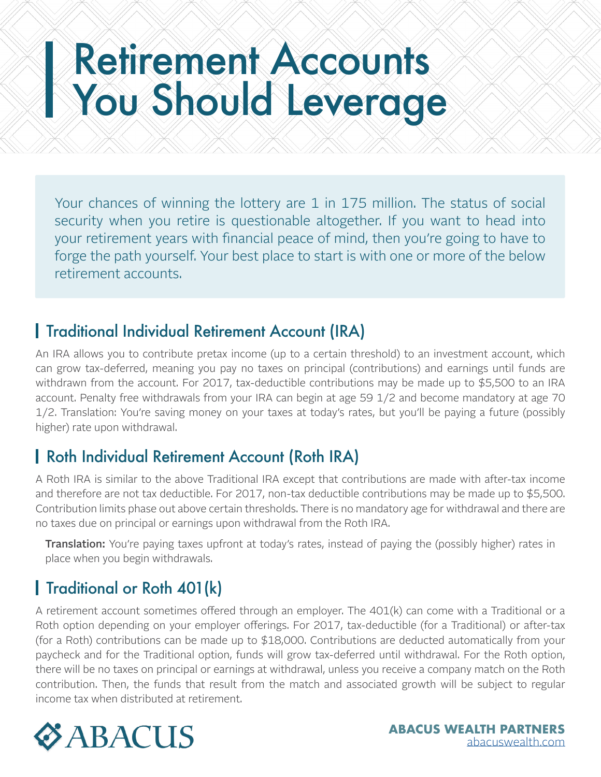# Retirement Accounts You Should Leverage

Your chances of winning the lottery are 1 in 175 million. The status of social security when you retire is questionable altogether. If you want to head into your retirement years with financial peace of mind, then you're going to have to forge the path yourself. Your best place to start is with one or more of the below retirement accounts.

#### Traditional Individual Retirement Account (IRA)

An IRA allows you to contribute pretax income (up to a certain threshold) to an investment account, which can grow tax-deferred, meaning you pay no taxes on principal (contributions) and earnings until funds are withdrawn from the account. For 2017, tax-deductible contributions may be made up to \$5,500 to an IRA account. Penalty free withdrawals from your IRA can begin at age 59 1/2 and become mandatory at age 70 1/2. Translation: You're saving money on your taxes at today's rates, but you'll be paying a future (possibly higher) rate upon withdrawal.

#### Roth Individual Retirement Account (Roth IRA)

A Roth IRA is similar to the above Traditional IRA except that contributions are made with after-tax income and therefore are not tax deductible. For 2017, non-tax deductible contributions may be made up to \$5,500. Contribution limits phase out above certain thresholds. There is no mandatory age for withdrawal and there are no taxes due on principal or earnings upon withdrawal from the Roth IRA.

**Translation:** You're paying taxes upfront at today's rates, instead of paying the (possibly higher) rates in place when you begin withdrawals.

## **Traditional or Roth 401(k)**

A retirement account sometimes offered through an employer. The 401(k) can come with a Traditional or a Roth option depending on your employer offerings. For 2017, tax-deductible (for a Traditional) or after-tax (for a Roth) contributions can be made up to \$18,000. Contributions are deducted automatically from your paycheck and for the Traditional option, funds will grow tax-deferred until withdrawal. For the Roth option, there will be no taxes on principal or earnings at withdrawal, unless you receive a company match on the Roth contribution. Then, the funds that result from the match and associated growth will be subject to regular income tax when distributed at retirement.

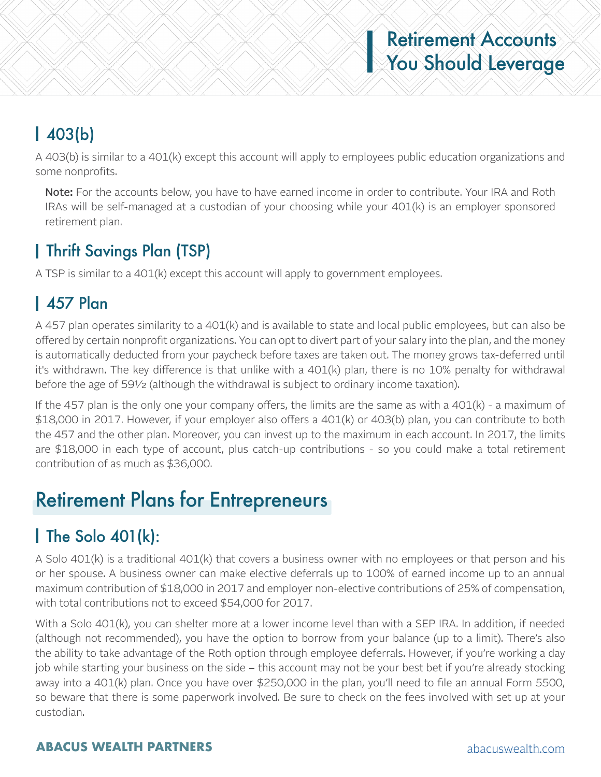# Retirement Accounts **You Should Leverage**

# 403(b)

A 403(b) is similar to a 401(k) except this account will apply to employees public education organizations and some nonprofits.

Note: For the accounts below, you have to have earned income in order to contribute. Your IRA and Roth IRAs will be self-managed at a custodian of your choosing while your 401(k) is an employer sponsored retirement plan.

## Thrift Savings Plan (TSP)

A TSP is similar to a 401(k) except this account will apply to government employees.

## 457 Plan

A 457 plan operates similarity to a 401(k) and is available to state and local public employees, but can also be offered by certain nonprofit organizations. You can opt to divert part of your salary into the plan, and the money is automatically deducted from your paycheck before taxes are taken out. The money grows tax-deferred until it's withdrawn. The key difference is that unlike with a 401(k) plan, there is no 10% penalty for withdrawal before the age of 59½ (although the withdrawal is subject to ordinary income taxation).

If the 457 plan is the only one your company offers, the limits are the same as with a  $401(k)$  - a maximum of \$18,000 in 2017. However, if your employer also offers a 401(k) or 403(b) plan, you can contribute to both the 457 and the other plan. Moreover, you can invest up to the maximum in each account. In 2017, the limits are \$18,000 in each type of account, plus catch-up contributions - so you could make a total retirement contribution of as much as \$36,000.

# Retirement Plans for Entrepreneurs

## $\blacksquare$  The Solo 401(k):

A Solo 401(k) is a traditional 401(k) that covers a business owner with no employees or that person and his or her spouse. A business owner can make elective deferrals up to 100% of earned income up to an annual maximum contribution of \$18,000 in 2017 and employer non-elective contributions of 25% of compensation, with total contributions not to exceed \$54,000 for 2017.

With a Solo 401(k), you can shelter more at a lower income level than with a SEP IRA. In addition, if needed (although not recommended), you have the option to borrow from your balance (up to a limit). There's also the ability to take advantage of the Roth option through employee deferrals. However, if you're working a day job while starting your business on the side – this account may not be your best bet if you're already stocking away into a 401(k) plan. Once you have over \$250,000 in the plan, you'll need to file an annual Form 5500, so beware that there is some paperwork involved. Be sure to check on the fees involved with set up at your custodian.

#### **ABACUS WEALTH PARTNERS** [abacuswealth.com](http://www.abacuswealth.com)